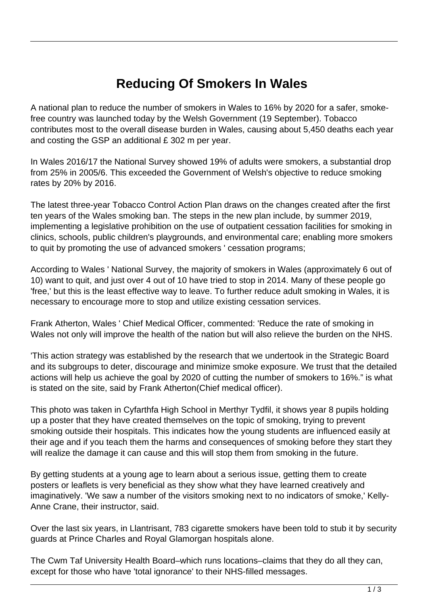## **Reducing Of Smokers In Wales**

A national plan to reduce the number of smokers in Wales to 16% by 2020 for a safer, smokefree country was launched today by the Welsh Government (19 September). Tobacco contributes most to the overall disease burden in Wales, causing about 5,450 deaths each year and costing the GSP an additional £ 302 m per year.

In Wales 2016/17 the National Survey showed 19% of adults were smokers, a substantial drop from 25% in 2005/6. This exceeded the Government of Welsh's objective to reduce smoking rates by 20% by 2016.

The latest three-year Tobacco Control Action Plan draws on the changes created after the first ten years of the Wales smoking ban. The steps in the new plan include, by summer 2019, implementing a legislative prohibition on the use of outpatient cessation facilities for smoking in clinics, schools, public children's playgrounds, and environmental care; enabling more smokers to quit by promoting the use of advanced smokers ' cessation programs;

According to Wales ' National Survey, the majority of smokers in Wales (approximately 6 out of 10) want to quit, and just over 4 out of 10 have tried to stop in 2014. Many of these people go 'free,' but this is the least effective way to leave. To further reduce adult smoking in Wales, it is necessary to encourage more to stop and utilize existing cessation services.

Frank Atherton, Wales ' Chief Medical Officer, commented: 'Reduce the rate of smoking in Wales not only will improve the health of the nation but will also relieve the burden on the NHS.

'This action strategy was established by the research that we undertook in the Strategic Board and its subgroups to deter, discourage and minimize smoke exposure. We trust that the detailed actions will help us achieve the goal by 2020 of cutting the number of smokers to 16%." is what is stated on the site, said by Frank Atherton(Chief medical officer).

This photo was taken in Cyfarthfa High School in Merthyr Tydfil, it shows year 8 pupils holding up a poster that they have created themselves on the topic of smoking, trying to prevent smoking outside their hospitals. This indicates how the young students are influenced easily at their age and if you teach them the harms and consequences of smoking before they start they will realize the damage it can cause and this will stop them from smoking in the future.

By getting students at a young age to learn about a serious issue, getting them to create posters or leaflets is very beneficial as they show what they have learned creatively and imaginatively. 'We saw a number of the visitors smoking next to no indicators of smoke,' Kelly-Anne Crane, their instructor, said.

Over the last six years, in Llantrisant, 783 cigarette smokers have been told to stub it by security guards at Prince Charles and Royal Glamorgan hospitals alone.

The Cwm Taf University Health Board–which runs locations–claims that they do all they can, except for those who have 'total ignorance' to their NHS-filled messages.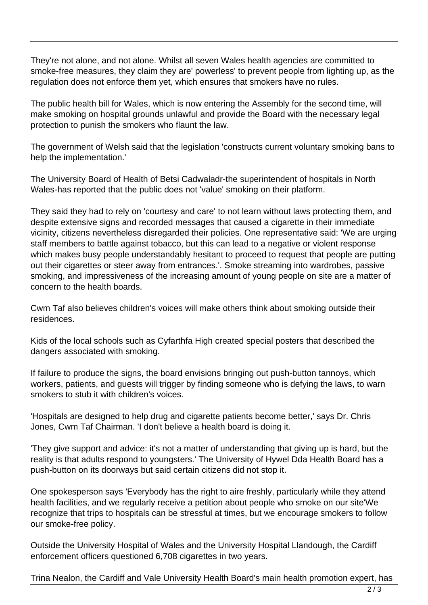They're not alone, and not alone. Whilst all seven Wales health agencies are committed to smoke-free measures, they claim they are' powerless' to prevent people from lighting up, as the regulation does not enforce them yet, which ensures that smokers have no rules.

The public health bill for Wales, which is now entering the Assembly for the second time, will make smoking on hospital grounds unlawful and provide the Board with the necessary legal protection to punish the smokers who flaunt the law.

The government of Welsh said that the legislation 'constructs current voluntary smoking bans to help the implementation.'

The University Board of Health of Betsi Cadwaladr-the superintendent of hospitals in North Wales-has reported that the public does not 'value' smoking on their platform.

They said they had to rely on 'courtesy and care' to not learn without laws protecting them, and despite extensive signs and recorded messages that caused a cigarette in their immediate vicinity, citizens nevertheless disregarded their policies. One representative said: 'We are urging staff members to battle against tobacco, but this can lead to a negative or violent response which makes busy people understandably hesitant to proceed to request that people are putting out their cigarettes or steer away from entrances.'. Smoke streaming into wardrobes, passive smoking, and impressiveness of the increasing amount of young people on site are a matter of concern to the health boards.

Cwm Taf also believes children's voices will make others think about smoking outside their residences.

Kids of the local schools such as Cyfarthfa High created special posters that described the dangers associated with smoking.

If failure to produce the signs, the board envisions bringing out push-button tannoys, which workers, patients, and guests will trigger by finding someone who is defying the laws, to warn smokers to stub it with children's voices.

'Hospitals are designed to help drug and cigarette patients become better,' says Dr. Chris Jones, Cwm Taf Chairman. 'I don't believe a health board is doing it.

'They give support and advice: it's not a matter of understanding that giving up is hard, but the reality is that adults respond to youngsters.' The University of Hywel Dda Health Board has a push-button on its doorways but said certain citizens did not stop it.

One spokesperson says 'Everybody has the right to aire freshly, particularly while they attend health facilities, and we regularly receive a petition about people who smoke on our site'We recognize that trips to hospitals can be stressful at times, but we encourage smokers to follow our smoke-free policy.

Outside the University Hospital of Wales and the University Hospital Llandough, the Cardiff enforcement officers questioned 6,708 cigarettes in two years.

Trina Nealon, the Cardiff and Vale University Health Board's main health promotion expert, has